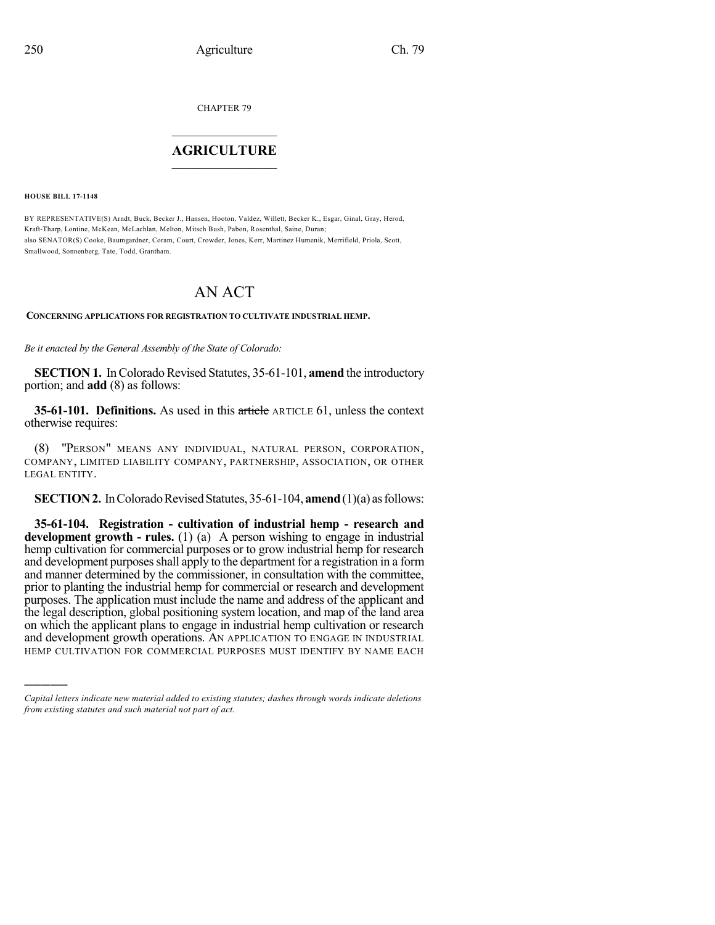CHAPTER 79

## $\overline{\phantom{a}}$  . The set of the set of the set of the set of the set of the set of the set of the set of the set of the set of the set of the set of the set of the set of the set of the set of the set of the set of the set o **AGRICULTURE**  $\_$   $\_$   $\_$   $\_$   $\_$   $\_$   $\_$   $\_$

**HOUSE BILL 17-1148**

)))))

BY REPRESENTATIVE(S) Arndt, Buck, Becker J., Hansen, Hooton, Valdez, Willett, Becker K., Esgar, Ginal, Gray, Herod, Kraft-Tharp, Lontine, McKean, McLachlan, Melton, Mitsch Bush, Pabon, Rosenthal, Saine, Duran; also SENATOR(S) Cooke, Baumgardner, Coram, Court, Crowder, Jones, Kerr, Martinez Humenik, Merrifield, Priola, Scott, Smallwood, Sonnenberg, Tate, Todd, Grantham.

## AN ACT

## **CONCERNING APPLICATIONS FOR REGISTRATION TO CULTIVATE INDUSTRIAL HEMP.**

*Be it enacted by the General Assembly of the State of Colorado:*

**SECTION 1.** In Colorado Revised Statutes, 35-61-101, **amend** the introductory portion; and **add** (8) as follows:

**35-61-101. Definitions.** As used in this article ARTICLE 61, unless the context otherwise requires:

(8) "PERSON" MEANS ANY INDIVIDUAL, NATURAL PERSON, CORPORATION, COMPANY, LIMITED LIABILITY COMPANY, PARTNERSHIP, ASSOCIATION, OR OTHER LEGAL ENTITY.

**SECTION 2.** In Colorado Revised Statutes, 35-61-104, **amend** (1)(a) as follows:

**35-61-104. Registration - cultivation of industrial hemp - research and development growth - rules.** (1) (a) A person wishing to engage in industrial hemp cultivation for commercial purposes or to grow industrial hemp for research and development purposes shall apply to the department for a registration in a form and manner determined by the commissioner, in consultation with the committee, prior to planting the industrial hemp for commercial or research and development purposes. The application must include the name and address of the applicant and the legal description, global positioning system location, and map of the land area on which the applicant plans to engage in industrial hemp cultivation or research and development growth operations. AN APPLICATION TO ENGAGE IN INDUSTRIAL HEMP CULTIVATION FOR COMMERCIAL PURPOSES MUST IDENTIFY BY NAME EACH

*Capital letters indicate new material added to existing statutes; dashes through words indicate deletions from existing statutes and such material not part of act.*